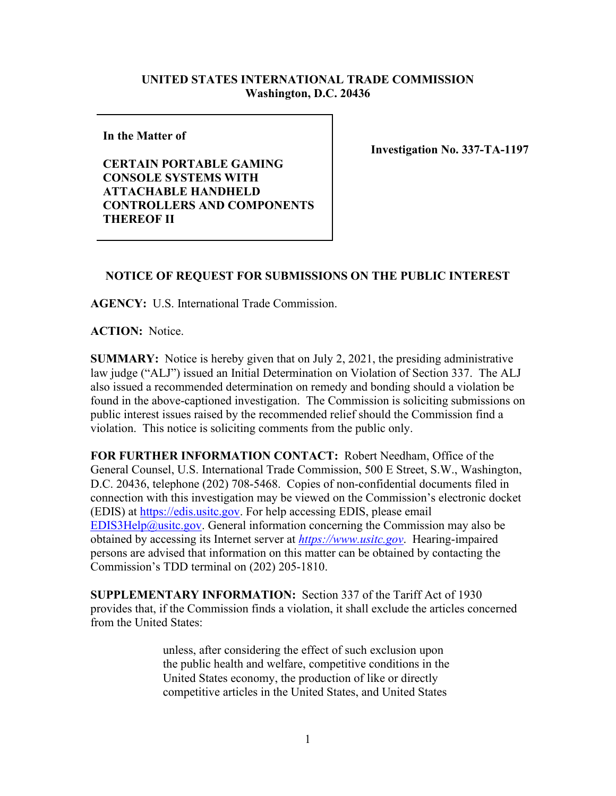## **UNITED STATES INTERNATIONAL TRADE COMMISSION Washington, D.C. 20436**

**In the Matter of** 

**CERTAIN PORTABLE GAMING CONSOLE SYSTEMS WITH ATTACHABLE HANDHELD CONTROLLERS AND COMPONENTS THEREOF II**

**Investigation No. 337-TA-1197**

## **NOTICE OF REQUEST FOR SUBMISSIONS ON THE PUBLIC INTEREST**

**AGENCY:** U.S. International Trade Commission.

**ACTION:** Notice.

**SUMMARY:** Notice is hereby given that on July 2, 2021, the presiding administrative law judge ("ALJ") issued an Initial Determination on Violation of Section 337. The ALJ also issued a recommended determination on remedy and bonding should a violation be found in the above-captioned investigation. The Commission is soliciting submissions on public interest issues raised by the recommended relief should the Commission find a violation. This notice is soliciting comments from the public only.

**FOR FURTHER INFORMATION CONTACT:** Robert Needham, Office of the General Counsel, U.S. International Trade Commission, 500 E Street, S.W., Washington, D.C. 20436, telephone (202) 708-5468. Copies of non-confidential documents filed in connection with this investigation may be viewed on the Commission's electronic docket (EDIS) at [https://edis.usitc.gov.](https://edis.usitc.gov/) For help accessing EDIS, please email [EDIS3Help@usitc.gov.](mailto:EDIS3Help@usitc.gov) General information concerning the Commission may also be obtained by accessing its Internet server at *[https://www.usitc.gov](https://www.usitc.gov/)*. Hearing-impaired persons are advised that information on this matter can be obtained by contacting the Commission's TDD terminal on (202) 205-1810.

**SUPPLEMENTARY INFORMATION:** Section 337 of the Tariff Act of 1930 provides that, if the Commission finds a violation, it shall exclude the articles concerned from the United States:

> unless, after considering the effect of such exclusion upon the public health and welfare, competitive conditions in the United States economy, the production of like or directly competitive articles in the United States, and United States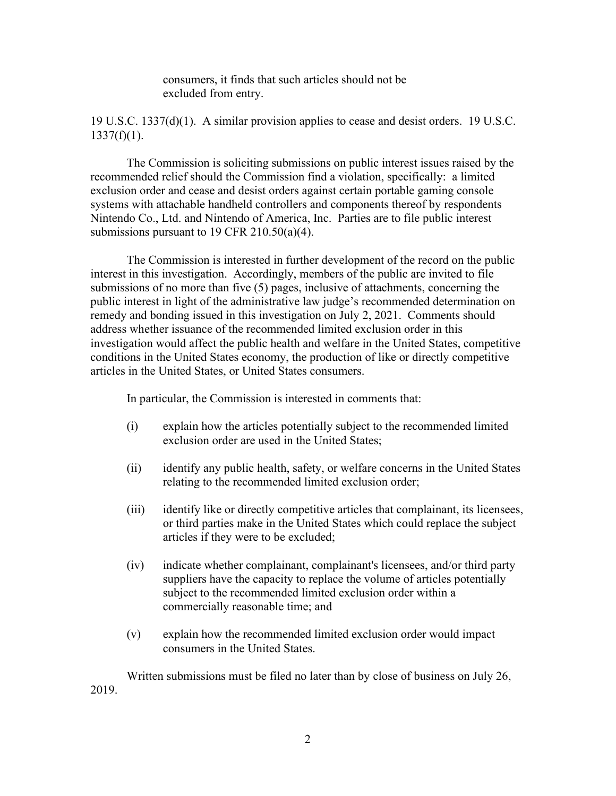consumers, it finds that such articles should not be excluded from entry.

19 U.S.C. 1337(d)(1). A similar provision applies to cease and desist orders. 19 U.S.C.  $1337(f)(1)$ .

The Commission is soliciting submissions on public interest issues raised by the recommended relief should the Commission find a violation, specifically: a limited exclusion order and cease and desist orders against certain portable gaming console systems with attachable handheld controllers and components thereof by respondents Nintendo Co., Ltd. and Nintendo of America, Inc. Parties are to file public interest submissions pursuant to 19 CFR 210.50(a)(4).

The Commission is interested in further development of the record on the public interest in this investigation. Accordingly, members of the public are invited to file submissions of no more than five (5) pages, inclusive of attachments, concerning the public interest in light of the administrative law judge's recommended determination on remedy and bonding issued in this investigation on July 2, 2021.Comments should address whether issuance of the recommended limited exclusion order in this investigation would affect the public health and welfare in the United States, competitive conditions in the United States economy, the production of like or directly competitive articles in the United States, or United States consumers.

In particular, the Commission is interested in comments that:

- (i) explain how the articles potentially subject to the recommended limited exclusion order are used in the United States;
- (ii) identify any public health, safety, or welfare concerns in the United States relating to the recommended limited exclusion order;
- (iii) identify like or directly competitive articles that complainant, its licensees, or third parties make in the United States which could replace the subject articles if they were to be excluded;
- (iv) indicate whether complainant, complainant's licensees, and/or third party suppliers have the capacity to replace the volume of articles potentially subject to the recommended limited exclusion order within a commercially reasonable time; and
- (v) explain how the recommended limited exclusion order would impact consumers in the United States.

Written submissions must be filed no later than by close of business on July 26, 2019.